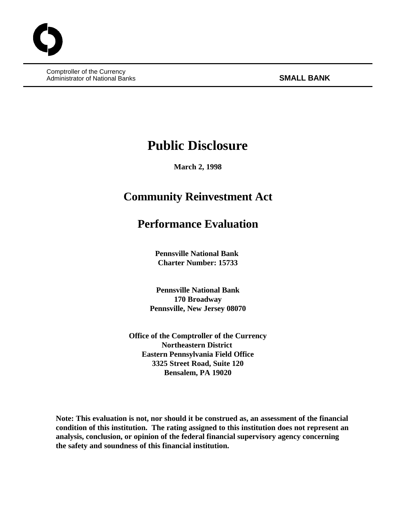Comptroller of the Currency Administrator of National Banks **SMALL BANK** 

# **Public Disclosure**

**March 2, 1998**

## **Community Reinvestment Act**

## **Performance Evaluation**

**Pennsville National Bank Charter Number: 15733**

**Pennsville National Bank 170 Broadway Pennsville, New Jersey 08070**

**Office of the Comptroller of the Currency Northeastern District Eastern Pennsylvania Field Office 3325 Street Road, Suite 120 Bensalem, PA 19020**

**Note: This evaluation is not, nor should it be construed as, an assessment of the financial condition of this institution. The rating assigned to this institution does not represent an analysis, conclusion, or opinion of the federal financial supervisory agency concerning the safety and soundness of this financial institution.**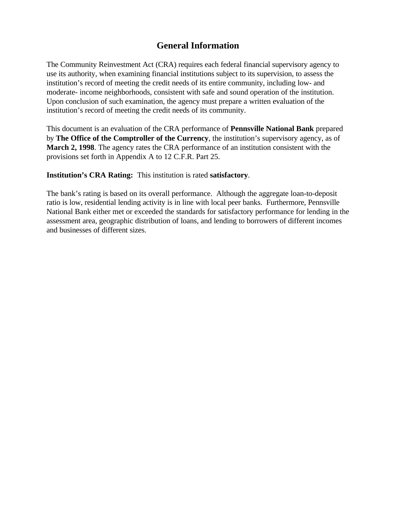## **General Information**

The Community Reinvestment Act (CRA) requires each federal financial supervisory agency to use its authority, when examining financial institutions subject to its supervision, to assess the institution's record of meeting the credit needs of its entire community, including low- and moderate- income neighborhoods, consistent with safe and sound operation of the institution. Upon conclusion of such examination, the agency must prepare a written evaluation of the institution's record of meeting the credit needs of its community.

This document is an evaluation of the CRA performance of **Pennsville National Bank** prepared by **The Office of the Comptroller of the Currency**, the institution's supervisory agency, as of **March 2, 1998**. The agency rates the CRA performance of an institution consistent with the provisions set forth in Appendix A to 12 C.F.R. Part 25.

**Institution's CRA Rating:** This institution is rated **satisfactory**.

The bank's rating is based on its overall performance. Although the aggregate loan-to-deposit ratio is low, residential lending activity is in line with local peer banks. Furthermore, Pennsville National Bank either met or exceeded the standards for satisfactory performance for lending in the assessment area, geographic distribution of loans, and lending to borrowers of different incomes and businesses of different sizes.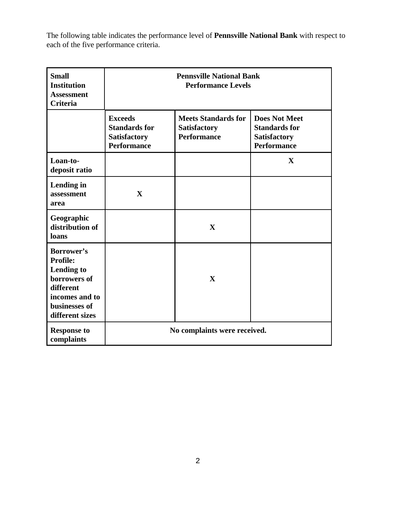The following table indicates the performance level of **Pennsville National Bank** with respect to each of the five performance criteria.

| <b>Small</b><br><b>Institution</b><br><b>Assessment</b><br><b>Criteria</b>                                                            | <b>Pennsville National Bank</b><br><b>Performance Levels</b>                        |                                                                         |                                                                                           |  |
|---------------------------------------------------------------------------------------------------------------------------------------|-------------------------------------------------------------------------------------|-------------------------------------------------------------------------|-------------------------------------------------------------------------------------------|--|
|                                                                                                                                       | <b>Exceeds</b><br><b>Standards for</b><br><b>Satisfactory</b><br><b>Performance</b> | <b>Meets Standards for</b><br><b>Satisfactory</b><br><b>Performance</b> | <b>Does Not Meet</b><br><b>Standards for</b><br><b>Satisfactory</b><br><b>Performance</b> |  |
| Loan-to-<br>deposit ratio                                                                                                             |                                                                                     |                                                                         | X                                                                                         |  |
| Lending in<br>assessment<br>area                                                                                                      | $\mathbf{X}$                                                                        |                                                                         |                                                                                           |  |
| Geographic<br>distribution of<br>loans                                                                                                |                                                                                     | X                                                                       |                                                                                           |  |
| Borrower's<br><b>Profile:</b><br><b>Lending to</b><br>borrowers of<br>different<br>incomes and to<br>businesses of<br>different sizes |                                                                                     | $\mathbf{X}$                                                            |                                                                                           |  |
| <b>Response to</b><br>complaints                                                                                                      | No complaints were received.                                                        |                                                                         |                                                                                           |  |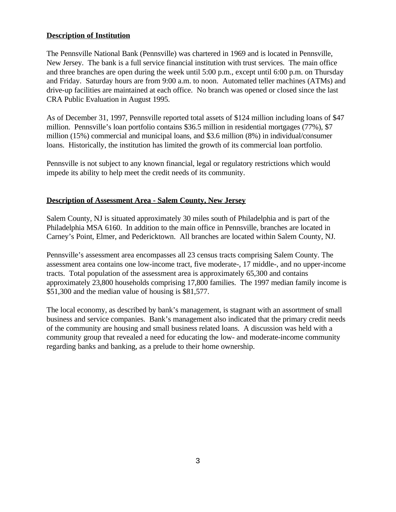## **Description of Institution**

The Pennsville National Bank (Pennsville) was chartered in 1969 and is located in Pennsville, New Jersey. The bank is a full service financial institution with trust services. The main office and three branches are open during the week until 5:00 p.m., except until 6:00 p.m. on Thursday and Friday. Saturday hours are from 9:00 a.m. to noon. Automated teller machines (ATMs) and drive-up facilities are maintained at each office. No branch was opened or closed since the last CRA Public Evaluation in August 1995.

As of December 31, 1997, Pennsville reported total assets of \$124 million including loans of \$47 million. Pennsville's loan portfolio contains \$36.5 million in residential mortgages (77%), \$7 million (15%) commercial and municipal loans, and \$3.6 million (8%) in individual/consumer loans. Historically, the institution has limited the growth of its commercial loan portfolio.

Pennsville is not subject to any known financial, legal or regulatory restrictions which would impede its ability to help meet the credit needs of its community.

## **Description of Assessment Area - Salem County, New Jersey**

Salem County, NJ is situated approximately 30 miles south of Philadelphia and is part of the Philadelphia MSA 6160. In addition to the main office in Pennsville, branches are located in Carney's Point, Elmer, and Pedericktown. All branches are located within Salem County, NJ.

Pennsville's assessment area encompasses all 23 census tracts comprising Salem County. The assessment area contains one low-income tract, five moderate-, 17 middle-, and no upper-income tracts. Total population of the assessment area is approximately 65,300 and contains approximately 23,800 households comprising 17,800 families. The 1997 median family income is \$51,300 and the median value of housing is \$81,577.

The local economy, as described by bank's management, is stagnant with an assortment of small business and service companies. Bank's management also indicated that the primary credit needs of the community are housing and small business related loans. A discussion was held with a community group that revealed a need for educating the low- and moderate-income community regarding banks and banking, as a prelude to their home ownership.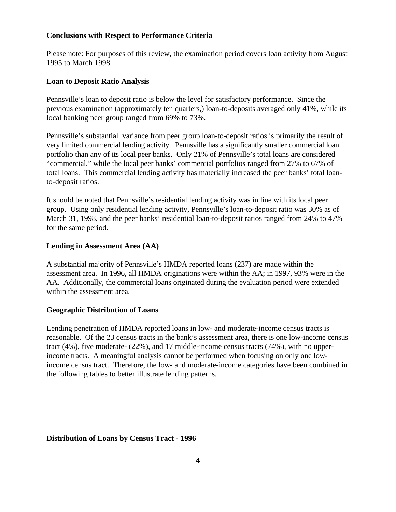### **Conclusions with Respect to Performance Criteria**

Please note: For purposes of this review, the examination period covers loan activity from August 1995 to March 1998.

#### **Loan to Deposit Ratio Analysis**

Pennsville's loan to deposit ratio is below the level for satisfactory performance. Since the previous examination (approximately ten quarters,) loan-to-deposits averaged only 41%, while its local banking peer group ranged from 69% to 73%.

Pennsville's substantial variance from peer group loan-to-deposit ratios is primarily the result of very limited commercial lending activity. Pennsville has a significantly smaller commercial loan portfolio than any of its local peer banks. Only 21% of Pennsville's total loans are considered "commercial," while the local peer banks' commercial portfolios ranged from 27% to 67% of total loans. This commercial lending activity has materially increased the peer banks' total loanto-deposit ratios.

It should be noted that Pennsville's residential lending activity was in line with its local peer group. Using only residential lending activity, Pennsville's loan-to-deposit ratio was 30% as of March 31, 1998, and the peer banks' residential loan-to-deposit ratios ranged from 24% to 47% for the same period.

#### **Lending in Assessment Area (AA)**

A substantial majority of Pennsville's HMDA reported loans (237) are made within the assessment area. In 1996, all HMDA originations were within the AA; in 1997, 93% were in the AA. Additionally, the commercial loans originated during the evaluation period were extended within the assessment area.

#### **Geographic Distribution of Loans**

Lending penetration of HMDA reported loans in low- and moderate-income census tracts is reasonable. Of the 23 census tracts in the bank's assessment area, there is one low-income census tract (4%), five moderate- (22%), and 17 middle-income census tracts (74%), with no upperincome tracts. A meaningful analysis cannot be performed when focusing on only one lowincome census tract. Therefore, the low- and moderate-income categories have been combined in the following tables to better illustrate lending patterns.

#### **Distribution of Loans by Census Tract - 1996**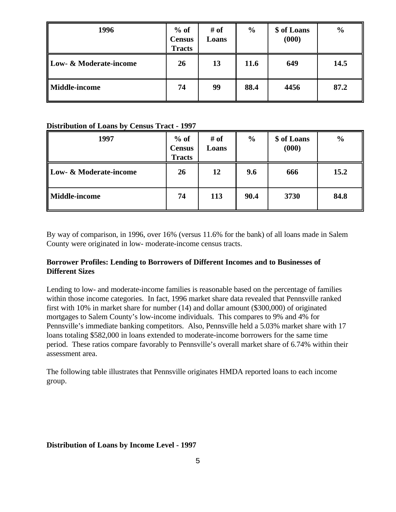| 1996                              | $%$ of<br><b>Census</b><br><b>Tracts</b> | # of<br>Loans | $\frac{6}{6}$ | \$ of Loans<br>(000) | $\frac{6}{6}$ |
|-----------------------------------|------------------------------------------|---------------|---------------|----------------------|---------------|
| <b>Low- &amp; Moderate-income</b> | 26                                       | 13            | 11.6          | 649                  | 14.5          |
| <b>Middle-income</b>              | 74                                       | 99            | 88.4          | 4456                 | 87.2          |

#### **Distribution of Loans by Census Tract - 1997**

| 1997                              | $%$ of<br><b>Census</b><br><b>Tracts</b> | # of<br>Loans | $\frac{0}{0}$ | \$ of Loans<br>(000) | $\frac{0}{0}$ |
|-----------------------------------|------------------------------------------|---------------|---------------|----------------------|---------------|
| <b>Low- &amp; Moderate-income</b> | 26                                       | 12            | 9.6           | 666                  | 15.2          |
| <b>Middle-income</b>              | 74                                       | 113           | 90.4          | 3730                 | 84.8          |

By way of comparison, in 1996, over 16% (versus 11.6% for the bank) of all loans made in Salem County were originated in low- moderate-income census tracts.

## **Borrower Profiles: Lending to Borrowers of Different Incomes and to Businesses of Different Sizes**

Lending to low- and moderate-income families is reasonable based on the percentage of families within those income categories. In fact, 1996 market share data revealed that Pennsville ranked first with 10% in market share for number (14) and dollar amount (\$300,000) of originated mortgages to Salem County's low-income individuals. This compares to 9% and 4% for Pennsville's immediate banking competitors. Also, Pennsville held a 5.03% market share with 17 loans totaling \$582,000 in loans extended to moderate-income borrowers for the same time period. These ratios compare favorably to Pennsville's overall market share of 6.74% within their assessment area.

The following table illustrates that Pennsville originates HMDA reported loans to each income group.

### **Distribution of Loans by Income Level - 1997**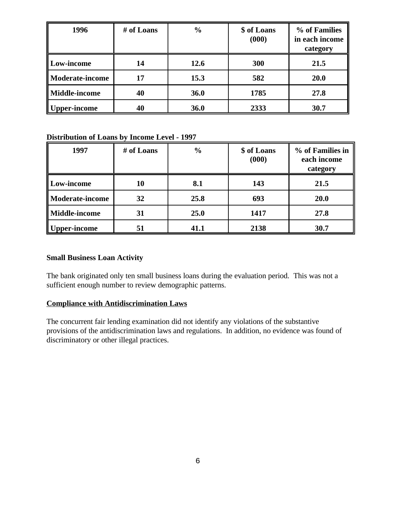| 1996                 | # of Loans | $\frac{0}{0}$ | \$ of Loans<br>(000) | % of Families<br>in each income<br>category |
|----------------------|------------|---------------|----------------------|---------------------------------------------|
| Low-income           | 14         | 12.6          | 300                  | 21.5                                        |
| Moderate-income      | 17         | 15.3          | 582                  | <b>20.0</b>                                 |
| <b>Middle-income</b> | 40         | <b>36.0</b>   | 1785                 | 27.8                                        |
| per-income           | 40         | <b>36.0</b>   | 2333                 | 30.7                                        |

## **Distribution of Loans by Income Level - 1997**

| 1997                   | # of Loans | $\frac{0}{0}$ | \$ of Loans<br>(000) | % of Families in<br>each income<br>category |
|------------------------|------------|---------------|----------------------|---------------------------------------------|
| Low-income             | 10         | 8.1           | 143                  | 21.5                                        |
| <b>Moderate-income</b> | 32         | 25.8          | 693                  | <b>20.0</b>                                 |
| <b>Middle-income</b>   | 31         | 25.0          | 1417                 | 27.8                                        |
| <b>Upper-income</b>    | 51         | 41.1          | 2138                 | 30.7                                        |

## **Small Business Loan Activity**

The bank originated only ten small business loans during the evaluation period. This was not a sufficient enough number to review demographic patterns.

## **Compliance with Antidiscrimination Laws**

The concurrent fair lending examination did not identify any violations of the substantive provisions of the antidiscrimination laws and regulations. In addition, no evidence was found of discriminatory or other illegal practices.